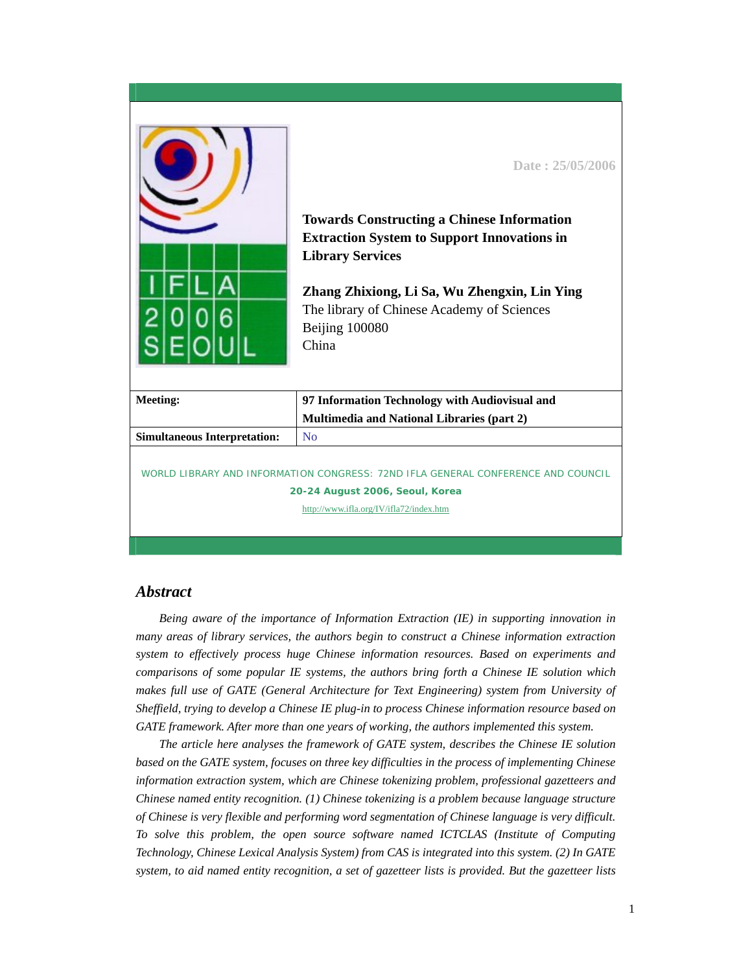|                                                                                                                                                                | Date: 25/05/2006<br><b>Towards Constructing a Chinese Information</b><br><b>Extraction System to Support Innovations in</b><br><b>Library Services</b><br>Zhang Zhixiong, Li Sa, Wu Zhengxin, Lin Ying<br>The library of Chinese Academy of Sciences<br>Beijing 100080<br>China |  |
|----------------------------------------------------------------------------------------------------------------------------------------------------------------|---------------------------------------------------------------------------------------------------------------------------------------------------------------------------------------------------------------------------------------------------------------------------------|--|
| <b>Meeting:</b>                                                                                                                                                | 97 Information Technology with Audiovisual and                                                                                                                                                                                                                                  |  |
|                                                                                                                                                                | Multimedia and National Libraries (part 2)                                                                                                                                                                                                                                      |  |
| <b>Simultaneous Interpretation:</b>                                                                                                                            | No                                                                                                                                                                                                                                                                              |  |
| WORLD LIBRARY AND INFORMATION CONGRESS: 72ND IFLA GENERAL CONFERENCE AND COUNCIL<br>20-24 August 2006, Seoul, Korea<br>http://www.ifla.org/IV/ifla72/index.htm |                                                                                                                                                                                                                                                                                 |  |

## *Abstract*

*Being aware of the importance of Information Extraction (IE) in supporting innovation in many areas of library services, the authors begin to construct a Chinese information extraction system to effectively process huge Chinese information resources. Based on experiments and comparisons of some popular IE systems, the authors bring forth a Chinese IE solution which makes full use of GATE (General Architecture for Text Engineering) system from University of Sheffield, trying to develop a Chinese IE plug-in to process Chinese information resource based on GATE framework. After more than one years of working, the authors implemented this system.* 

*The article here analyses the framework of GATE system, describes the Chinese IE solution based on the GATE system, focuses on three key difficulties in the process of implementing Chinese information extraction system, which are Chinese tokenizing problem, professional gazetteers and Chinese named entity recognition. (1) Chinese tokenizing is a problem because language structure of Chinese is very flexible and performing word segmentation of Chinese language is very difficult. To solve this problem, the open source software named ICTCLAS (Institute of Computing Technology, Chinese Lexical Analysis System) from CAS is integrated into this system. (2) In GATE system, to aid named entity recognition, a set of gazetteer lists is provided. But the gazetteer lists*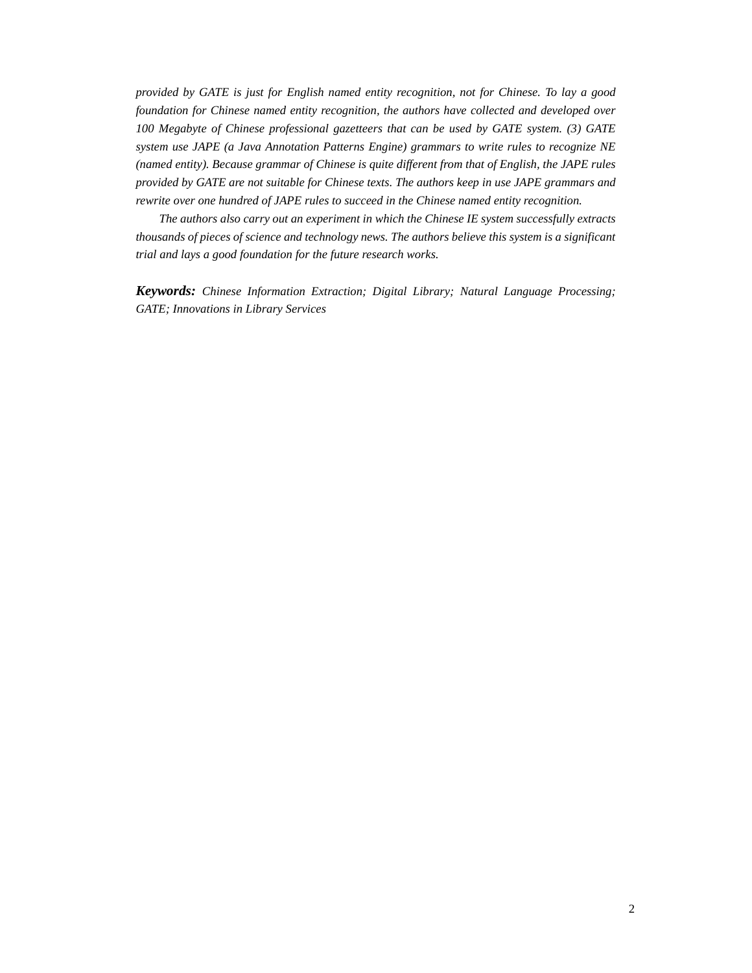*provided by GATE is just for English named entity recognition, not for Chinese. To lay a good foundation for Chinese named entity recognition, the authors have collected and developed over 100 Megabyte of Chinese professional gazetteers that can be used by GATE system. (3) GATE system use JAPE (a Java Annotation Patterns Engine) grammars to write rules to recognize NE (named entity). Because grammar of Chinese is quite different from that of English, the JAPE rules provided by GATE are not suitable for Chinese texts. The authors keep in use JAPE grammars and rewrite over one hundred of JAPE rules to succeed in the Chinese named entity recognition.* 

*The authors also carry out an experiment in which the Chinese IE system successfully extracts thousands of pieces of science and technology news. The authors believe this system is a significant trial and lays a good foundation for the future research works.* 

*Keywords: Chinese Information Extraction; Digital Library; Natural Language Processing; GATE; Innovations in Library Services*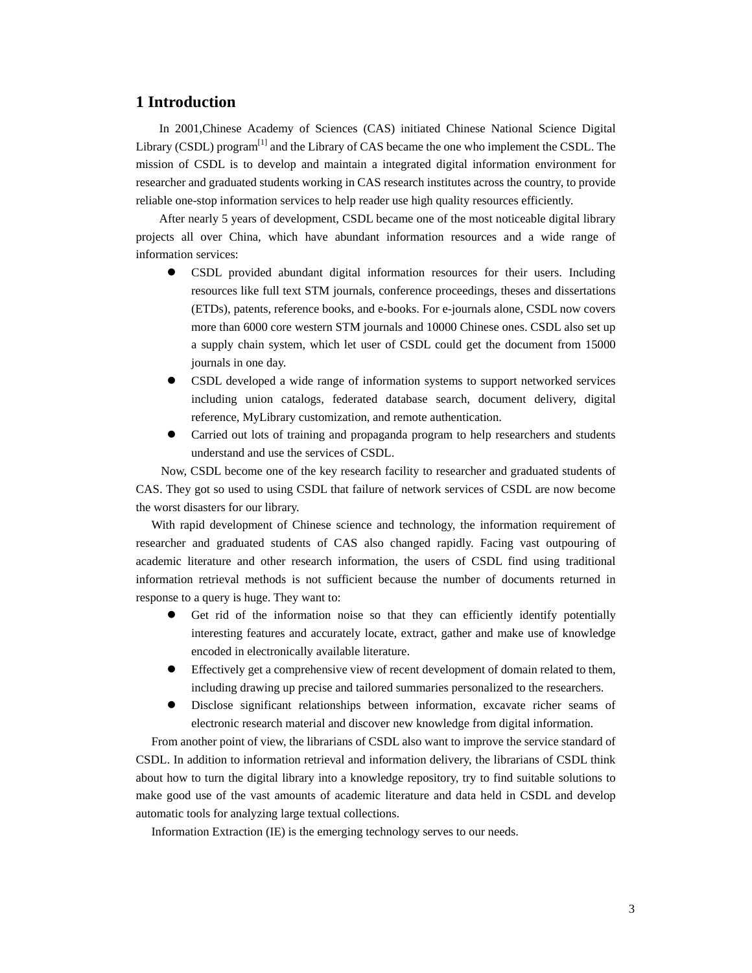# **1 Introduction**

In 2001,Chinese Academy of Sciences (CAS) initiated Chinese National Science Digital Library (CSDL) program<sup>[1]</sup> and the Library of CAS became the one who implement the CSDL. The mission of CSDL is to develop and maintain a integrated digital information environment for researcher and graduated students working in CAS research institutes across the country, to provide reliable one-stop information services to help reader use high quality resources efficiently.

After nearly 5 years of development, CSDL became one of the most noticeable digital library projects all over China, which have abundant information resources and a wide range of information services:

- z CSDL provided abundant digital information resources for their users. Including resources like full text STM journals, conference proceedings, theses and dissertations (ETDs), patents, reference books, and e-books. For e-journals alone, CSDL now covers more than 6000 core western STM journals and 10000 Chinese ones. CSDL also set up a supply chain system, which let user of CSDL could get the document from 15000 journals in one day.
- z CSDL developed a wide range of information systems to support networked services including union catalogs, federated database search, document delivery, digital reference, MyLibrary customization, and remote authentication.
- Carried out lots of training and propaganda program to help researchers and students understand and use the services of CSDL.

Now, CSDL become one of the key research facility to researcher and graduated students of CAS. They got so used to using CSDL that failure of network services of CSDL are now become the worst disasters for our library.

With rapid development of Chinese science and technology, the information requirement of researcher and graduated students of CAS also changed rapidly. Facing vast outpouring of academic literature and other research information, the users of CSDL find using traditional information retrieval methods is not sufficient because the number of documents returned in response to a query is huge. They want to:

- Get rid of the information noise so that they can efficiently identify potentially interesting features and accurately locate, extract, gather and make use of knowledge encoded in electronically available literature.
- Effectively get a comprehensive view of recent development of domain related to them, including drawing up precise and tailored summaries personalized to the researchers.
- z Disclose significant relationships between information, excavate richer seams of electronic research material and discover new knowledge from digital information.

From another point of view, the librarians of CSDL also want to improve the service standard of CSDL. In addition to information retrieval and information delivery, the librarians of CSDL think about how to turn the digital library into a knowledge repository, try to find suitable solutions to make good use of the vast amounts of academic literature and data held in CSDL and develop automatic tools for analyzing large textual collections.

Information Extraction (IE) is the emerging technology serves to our needs.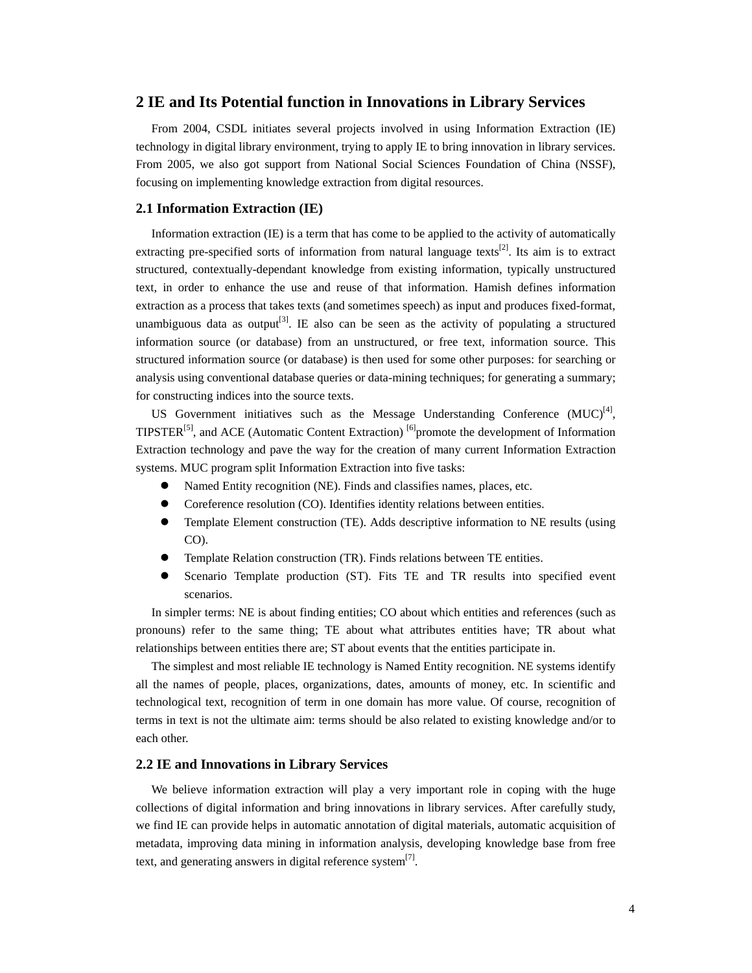## **2 IE and Its Potential function in Innovations in Library Services**

From 2004, CSDL initiates several projects involved in using Information Extraction (IE) technology in digital library environment, trying to apply IE to bring innovation in library services. From 2005, we also got support from National Social Sciences Foundation of China (NSSF), focusing on implementing knowledge extraction from digital resources.

#### **2.1 Information Extraction (IE)**

Information extraction (IE) is a term that has come to be applied to the activity of automatically extracting pre-specified sorts of information from natural language texts<sup>[2]</sup>. Its aim is to extract structured, contextually-dependant knowledge from existing information, typically unstructured text, in order to enhance the use and reuse of that information. Hamish defines information extraction as a process that takes texts (and sometimes speech) as input and produces fixed-format, unambiguous data as output<sup>[3]</sup>. IE also can be seen as the activity of populating a structured information source (or database) from an unstructured, or free text, information source. This structured information source (or database) is then used for some other purposes: for searching or analysis using conventional database queries or data-mining techniques; for generating a summary; for constructing indices into the source texts.

US Government initiatives such as the Message Understanding Conference  $(MUC)^{4}$ , TIPSTER<sup>[5]</sup>, and ACE (Automatic Content Extraction)  $^{[6]}$  promote the development of Information Extraction technology and pave the way for the creation of many current Information Extraction systems. MUC program split Information Extraction into five tasks:

- Named Entity recognition (NE). Finds and classifies names, places, etc.
- Coreference resolution (CO). Identifies identity relations between entities.
- Template Element construction (TE). Adds descriptive information to NE results (using CO).
- Template Relation construction (TR). Finds relations between TE entities.
- Scenario Template production (ST). Fits TE and TR results into specified event scenarios.

In simpler terms: NE is about finding entities; CO about which entities and references (such as pronouns) refer to the same thing; TE about what attributes entities have; TR about what relationships between entities there are; ST about events that the entities participate in.

The simplest and most reliable IE technology is Named Entity recognition. NE systems identify all the names of people, places, organizations, dates, amounts of money, etc. In scientific and technological text, recognition of term in one domain has more value. Of course, recognition of terms in text is not the ultimate aim: terms should be also related to existing knowledge and/or to each other.

#### **2.2 IE and Innovations in Library Services**

We believe information extraction will play a very important role in coping with the huge collections of digital information and bring innovations in library services. After carefully study, we find IE can provide helps in automatic annotation of digital materials, automatic acquisition of metadata, improving data mining in information analysis, developing knowledge base from free text, and generating answers in digital reference system<sup>[7]</sup>.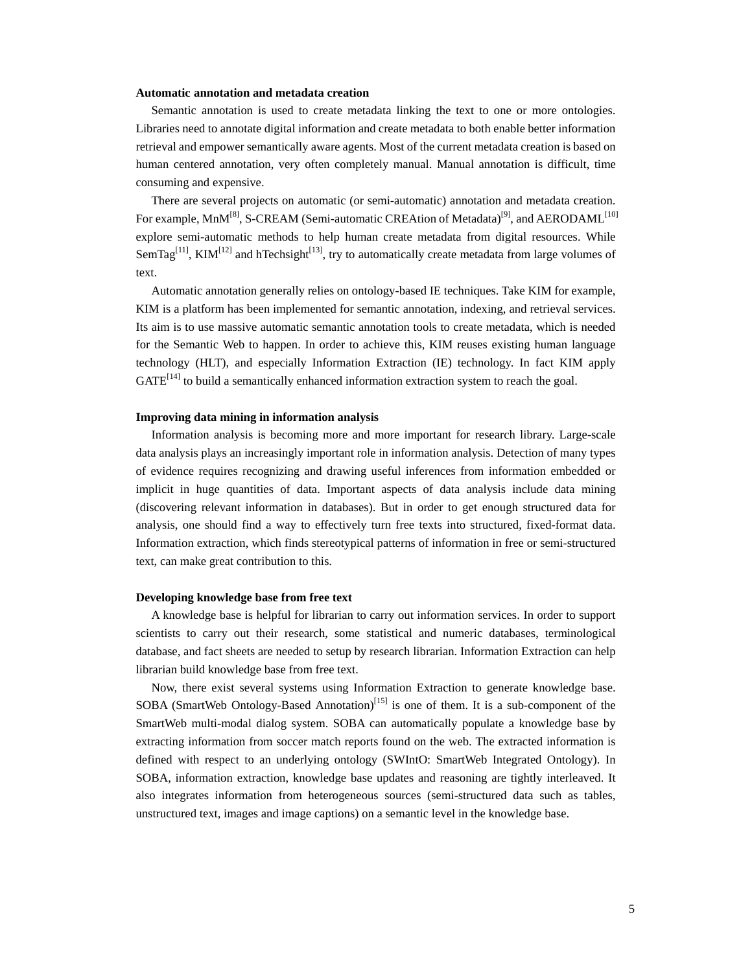#### **Automatic annotation and metadata creation**

Semantic annotation is used to create metadata linking the text to one or more ontologies. Libraries need to annotate digital information and create metadata to both enable better information retrieval and empower semantically aware agents. Most of the current metadata creation is based on human centered annotation, very often completely manual. Manual annotation is difficult, time consuming and expensive.

There are several projects on automatic (or semi-automatic) annotation and metadata creation. For example, MnM<sup>[8]</sup>, S-CREAM (Semi-automatic CREAtion of Metadata)<sup>[9]</sup>, and AERODAML<sup>[10]</sup> explore semi-automatic methods to help human create metadata from digital resources. While SemTag<sup>[11]</sup>, KIM<sup>[12]</sup> and hTechsight<sup>[13]</sup>, try to automatically create metadata from large volumes of text.

Automatic annotation generally relies on ontology-based IE techniques. Take KIM for example, KIM is a platform has been implemented for semantic annotation, indexing, and retrieval services. Its aim is to use massive automatic semantic annotation tools to create metadata, which is needed for the Semantic Web to happen. In order to achieve this, KIM reuses existing human language technology (HLT), and especially Information Extraction (IE) technology. In fact KIM apply  $GATE<sup>[14]</sup>$  to build a semantically enhanced information extraction system to reach the goal.

#### **Improving data mining in information analysis**

Information analysis is becoming more and more important for research library. Large-scale data analysis plays an increasingly important role in information analysis. Detection of many types of evidence requires recognizing and drawing useful inferences from information embedded or implicit in huge quantities of data. Important aspects of data analysis include data mining (discovering relevant information in databases). But in order to get enough structured data for analysis, one should find a way to effectively turn free texts into structured, fixed-format data. Information extraction, which finds stereotypical patterns of information in free or semi-structured text, can make great contribution to this.

#### **Developing knowledge base from free text**

A knowledge base is helpful for librarian to carry out information services. In order to support scientists to carry out their research, some statistical and numeric databases, terminological database, and fact sheets are needed to setup by research librarian. Information Extraction can help librarian build knowledge base from free text.

Now, there exist several systems using Information Extraction to generate knowledge base. SOBA (SmartWeb Ontology-Based Annotation)<sup>[15]</sup> is one of them. It is a sub-component of the SmartWeb multi-modal dialog system. SOBA can automatically populate a knowledge base by extracting information from soccer match reports found on the web. The extracted information is defined with respect to an underlying ontology (SWIntO: SmartWeb Integrated Ontology). In SOBA, information extraction, knowledge base updates and reasoning are tightly interleaved. It also integrates information from heterogeneous sources (semi-structured data such as tables, unstructured text, images and image captions) on a semantic level in the knowledge base.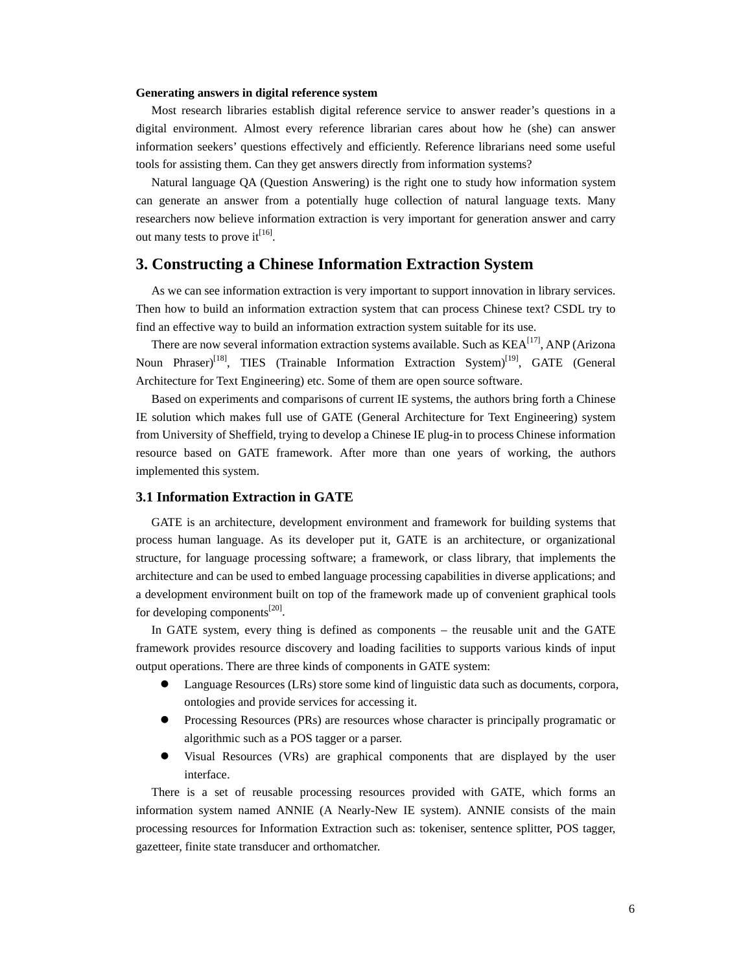#### **Generating answers in digital reference system**

Most research libraries establish digital reference service to answer reader's questions in a digital environment. Almost every reference librarian cares about how he (she) can answer information seekers' questions effectively and efficiently. Reference librarians need some useful tools for assisting them. Can they get answers directly from information systems?

Natural language QA (Question Answering) is the right one to study how information system can generate an answer from a potentially huge collection of natural language texts. Many researchers now believe information extraction is very important for generation answer and carry out many tests to prove it<sup>[16]</sup>.

## **3. Constructing a Chinese Information Extraction System**

As we can see information extraction is very important to support innovation in library services. Then how to build an information extraction system that can process Chinese text? CSDL try to find an effective way to build an information extraction system suitable for its use.

There are now several information extraction systems available. Such as KEA<sup>[17]</sup>, ANP (Arizona Noun Phraser)<sup>[18]</sup>, TIES (Trainable Information Extraction System)<sup>[19]</sup>, GATE (General Architecture for Text Engineering) etc. Some of them are open source software.

Based on experiments and comparisons of current IE systems, the authors bring forth a Chinese IE solution which makes full use of GATE (General Architecture for Text Engineering) system from University of Sheffield, trying to develop a Chinese IE plug-in to process Chinese information resource based on GATE framework. After more than one years of working, the authors implemented this system.

#### **3.1 Information Extraction in GATE**

GATE is an architecture, development environment and framework for building systems that process human language. As its developer put it, GATE is an architecture, or organizational structure, for language processing software; a framework, or class library, that implements the architecture and can be used to embed language processing capabilities in diverse applications; and a development environment built on top of the framework made up of convenient graphical tools for developing components<sup>[20]</sup>.

In GATE system, every thing is defined as components – the reusable unit and the GATE framework provides resource discovery and loading facilities to supports various kinds of input output operations. There are three kinds of components in GATE system:

- Language Resources (LRs) store some kind of linguistic data such as documents, corpora, ontologies and provide services for accessing it.
- Processing Resources (PRs) are resources whose character is principally programatic or algorithmic such as a POS tagger or a parser.
- Visual Resources (VRs) are graphical components that are displayed by the user interface.

There is a set of reusable processing resources provided with GATE, which forms an information system named ANNIE (A Nearly-New IE system). ANNIE consists of the main processing resources for Information Extraction such as: tokeniser, sentence splitter, POS tagger, gazetteer, finite state transducer and orthomatcher.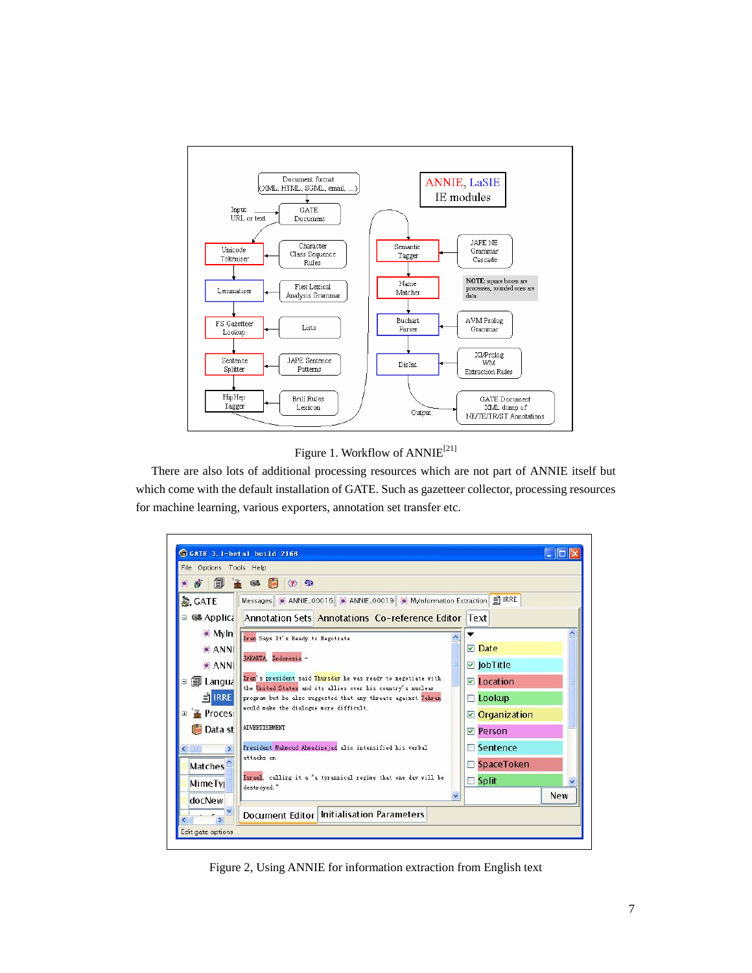

# Figure 1. Workflow of ANNIE<sup>[21]</sup>

There are also lots of additional processing resources which are not part of ANNIE itself but which come with the default installation of GATE. Such as gazetteer collector, processing resources for machine learning, various exporters, annotation set transfer etc.



Figure 2, Using ANNIE for information extraction from English text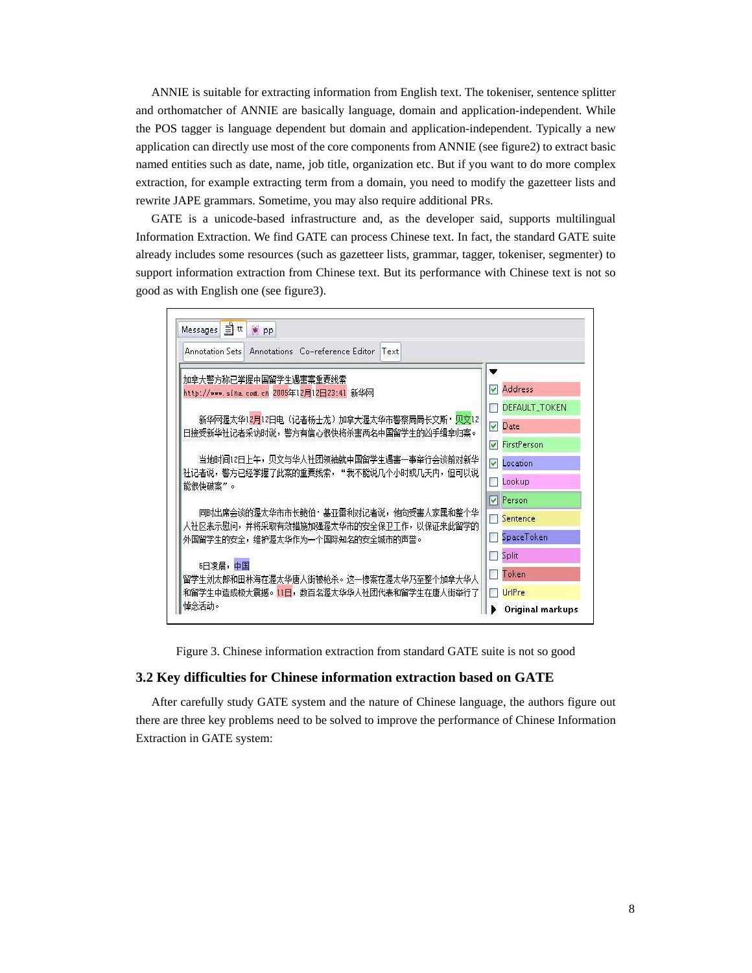ANNIE is suitable for extracting information from English text. The tokeniser, sentence splitter and orthomatcher of ANNIE are basically language, domain and application-independent. While the POS tagger is language dependent but domain and application-independent. Typically a new application can directly use most of the core components from ANNIE (see figure2) to extract basic named entities such as date, name, job title, organization etc. But if you want to do more complex extraction, for example extracting term from a domain, you need to modify the gazetteer lists and rewrite JAPE grammars. Sometime, you may also require additional PRs.

GATE is a unicode-based infrastructure and, as the developer said, supports multilingual Information Extraction. We find GATE can process Chinese text. In fact, the standard GATE suite already includes some resources (such as gazetteer lists, grammar, tagger, tokeniser, segmenter) to support information extraction from Chinese text. But its performance with Chinese text is not so good as with English one (see figure3).

| Annotation Sets   Annotations Co-reference Editor   Text                          |                                     |
|-----------------------------------------------------------------------------------|-------------------------------------|
| 加拿大警方称已掌握中国留学生遇害案重要线索                                                             | ▼                                   |
| http://www.sina.com.cn 2005年12月12日23:41 新华网                                       | <b>Address</b><br>M                 |
|                                                                                   | DEFAULT_TOKEN                       |
| 新华网渥太华12月12日电(记者杨士龙)加拿大渥太华市警察局局长文斯・贝文12<br>日接受新华社记者采访时说,警方有信心很快将杀害两名中国留学生的凶手缉拿归案。 | $\triangledown$ Date                |
|                                                                                   | <b>▽</b> FirstPerson                |
| 当地时间12日上午,贝文与华人社团领袖就中国留学生遇害——事举行会谈前对新华                                            | Location<br>$\overline{\mathbf{v}}$ |
| 社记者说,警方已经学握了此案的重要线索, " 我不能说几个小时或几天内,但可以说<br>能很快破案"。                               | Lookup                              |
|                                                                                   | <b>Person</b>                       |
| 同时出席会谈的渥太华市市长鲍伯・基亚雷利对记者说,他向受害人家属和整个华                                              | $\Box$ Sentence                     |
| 人社区表示慰问,并将采取有效措施加强渥太华市的安全保卫工作,以保证来此留学的<br>外国留学生的安全,维护渥太华作为一个国际知名的安全城市的声誉。         | SpaceToken                          |
|                                                                                   | Split                               |
| 6日凌晨,中国<br>留学生刘太郎和田林海在渥太华唐人街被枪杀。这一惨案在渥太华乃至整个加拿大华人                                 | Token                               |
| 和留学生中造成极大震撼。11日,数百名渥太华华人社团代表和留学生在唐人街举行了                                           | UrlPre                              |
| 悼念活动。                                                                             | Original markups                    |

Figure 3. Chinese information extraction from standard GATE suite is not so good

#### **3.2 Key difficulties for Chinese information extraction based on GATE**

After carefully study GATE system and the nature of Chinese language, the authors figure out there are three key problems need to be solved to improve the performance of Chinese Information Extraction in GATE system: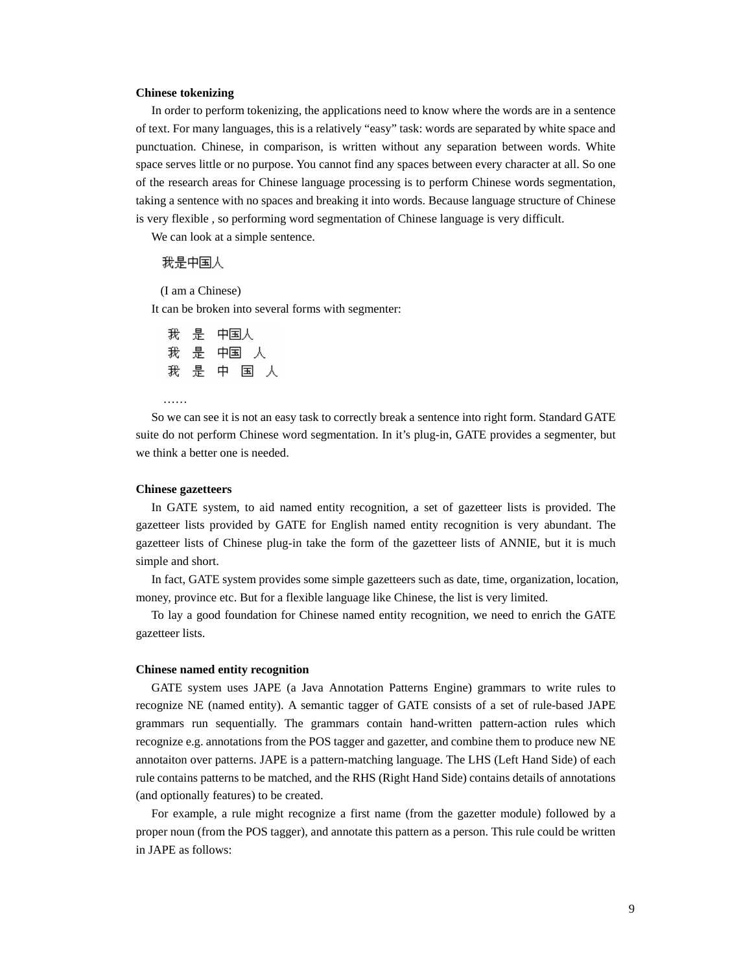#### **Chinese tokenizing**

In order to perform tokenizing, the applications need to know where the words are in a sentence of text. For many languages, this is a relatively "easy" task: words are separated by white space and punctuation. Chinese, in comparison, is written without any separation between words. White space serves little or no purpose. You cannot find any spaces between every character at all. So one of the research areas for Chinese language processing is to perform Chinese words segmentation, taking a sentence with no spaces and breaking it into words. Because language structure of Chinese is very flexible , so performing word segmentation of Chinese language is very difficult.

We can look at a simple sentence.

#### 我是中国人

(I am a Chinese)

It can be broken into several forms with segmenter:

中国人 ₩. 是 我。 いちょう 是の中国の人 我是中国人

……

So we can see it is not an easy task to correctly break a sentence into right form. Standard GATE suite do not perform Chinese word segmentation. In it's plug-in, GATE provides a segmenter, but we think a better one is needed.

#### **Chinese gazetteers**

In GATE system, to aid named entity recognition, a set of gazetteer lists is provided. The gazetteer lists provided by GATE for English named entity recognition is very abundant. The gazetteer lists of Chinese plug-in take the form of the gazetteer lists of ANNIE, but it is much simple and short.

In fact, GATE system provides some simple gazetteers such as date, time, organization, location, money, province etc. But for a flexible language like Chinese, the list is very limited.

To lay a good foundation for Chinese named entity recognition, we need to enrich the GATE gazetteer lists.

#### **Chinese named entity recognition**

GATE system uses JAPE (a Java Annotation Patterns Engine) grammars to write rules to recognize NE (named entity). A semantic tagger of GATE consists of a set of rule-based JAPE grammars run sequentially. The grammars contain hand-written pattern-action rules which recognize e.g. annotations from the POS tagger and gazetter, and combine them to produce new NE annotaiton over patterns. JAPE is a pattern-matching language. The LHS (Left Hand Side) of each rule contains patterns to be matched, and the RHS (Right Hand Side) contains details of annotations (and optionally features) to be created.

For example, a rule might recognize a first name (from the gazetter module) followed by a proper noun (from the POS tagger), and annotate this pattern as a person. This rule could be written in JAPE as follows: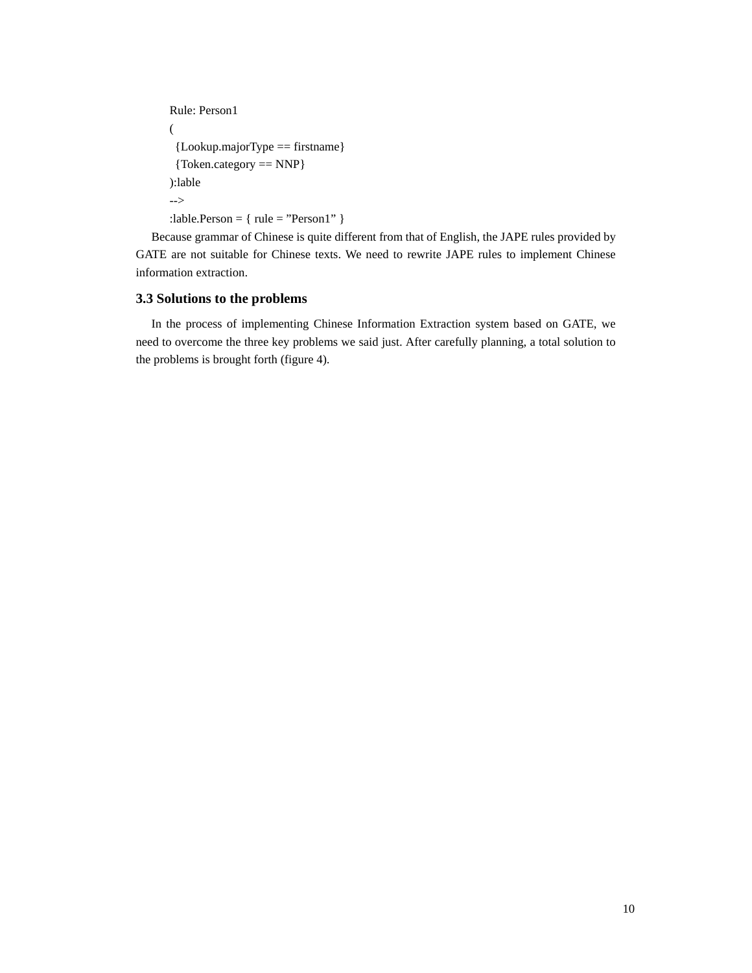```
Rule: Person1 
( 
 {Lookup.majorType == firstname} 
 {Token.category == NNP} 
):lable 
--> 
:lable.Person = \{ rule = "Person1" \}
```
Because grammar of Chinese is quite different from that of English, the JAPE rules provided by GATE are not suitable for Chinese texts. We need to rewrite JAPE rules to implement Chinese information extraction.

## **3.3 Solutions to the problems**

In the process of implementing Chinese Information Extraction system based on GATE, we need to overcome the three key problems we said just. After carefully planning, a total solution to the problems is brought forth (figure 4).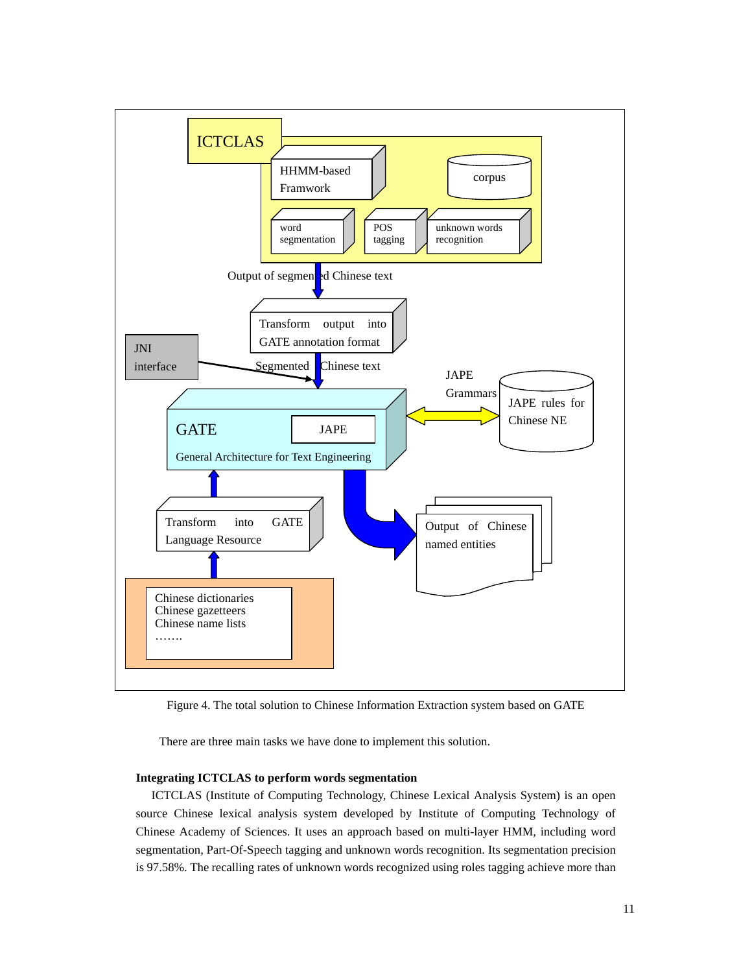

Figure 4. The total solution to Chinese Information Extraction system based on GATE

There are three main tasks we have done to implement this solution.

### **Integrating ICTCLAS to perform words segmentation**

ICTCLAS (Institute of Computing Technology, Chinese Lexical Analysis System) is an open source Chinese lexical analysis system developed by Institute of Computing Technology of Chinese Academy of Sciences. It uses an approach based on multi-layer HMM, including word segmentation, Part-Of-Speech tagging and unknown words recognition. Its segmentation precision is 97.58%. The recalling rates of unknown words recognized using roles tagging achieve more than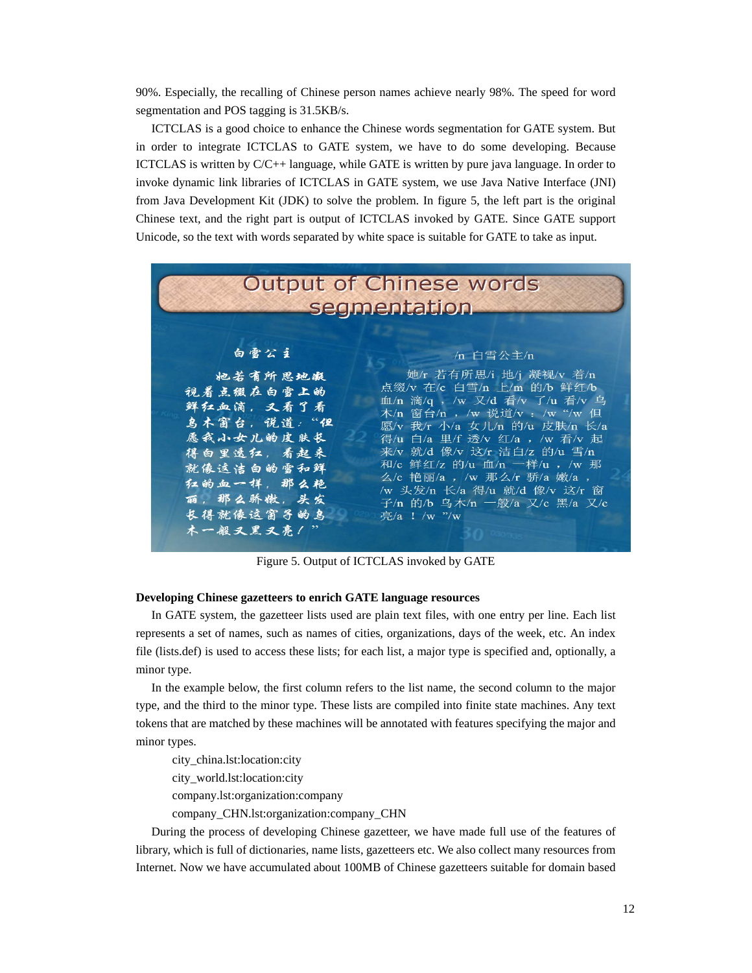90%. Especially, the recalling of Chinese person names achieve nearly 98%. The speed for word segmentation and POS tagging is 31.5KB/s.

ICTCLAS is a good choice to enhance the Chinese words segmentation for GATE system. But in order to integrate ICTCLAS to GATE system, we have to do some developing. Because ICTCLAS is written by C/C++ language, while GATE is written by pure java language. In order to invoke dynamic link libraries of ICTCLAS in GATE system, we use Java Native Interface (JNI) from Java Development Kit (JDK) to solve the problem. In figure 5, the left part is the original Chinese text, and the right part is output of ICTCLAS invoked by GATE. Since GATE support Unicode, so the text with words separated by white space is suitable for GATE to take as input.



Figure 5. Output of ICTCLAS invoked by GATE

#### **Developing Chinese gazetteers to enrich GATE language resources**

In GATE system, the gazetteer lists used are plain text files, with one entry per line. Each list represents a set of names, such as names of cities, organizations, days of the week, etc. An index file (lists.def) is used to access these lists; for each list, a major type is specified and, optionally, a minor type.

In the example below, the first column refers to the list name, the second column to the major type, and the third to the minor type. These lists are compiled into finite state machines. Any text tokens that are matched by these machines will be annotated with features specifying the major and minor types.

city\_china.lst:location:city city\_world.lst:location:city company.lst:organization:company

company\_CHN.lst:organization:company\_CHN

During the process of developing Chinese gazetteer, we have made full use of the features of library, which is full of dictionaries, name lists, gazetteers etc. We also collect many resources from Internet. Now we have accumulated about 100MB of Chinese gazetteers suitable for domain based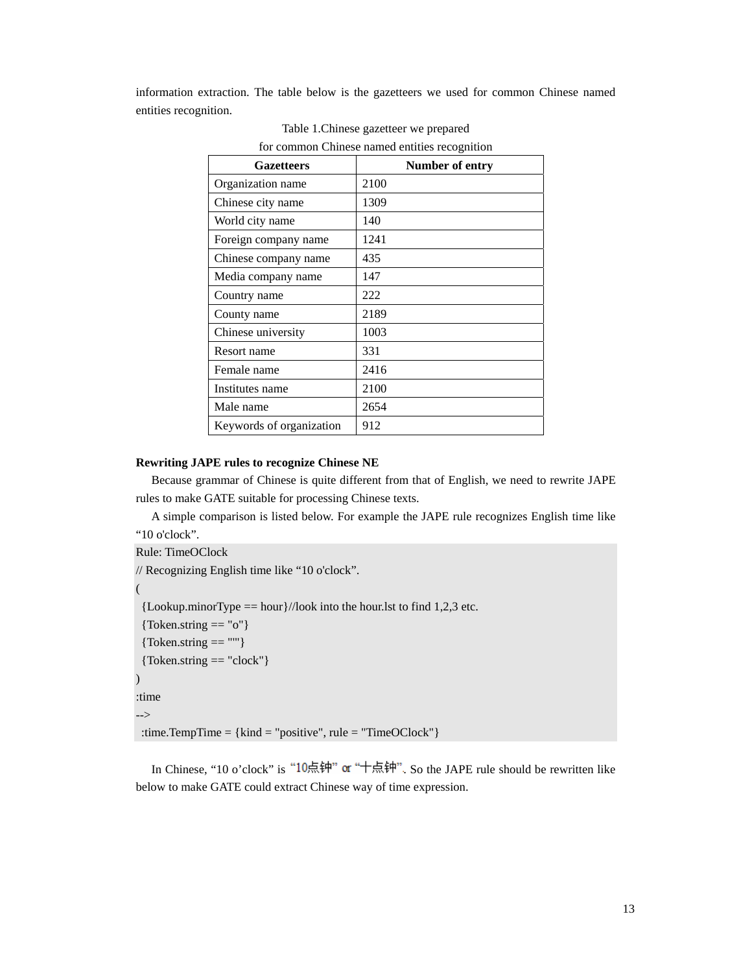information extraction. The table below is the gazetteers we used for common Chinese named entities recognition.

| <b>Gazetteers</b>        | Number of entry |
|--------------------------|-----------------|
| Organization name        | 2100            |
| Chinese city name        | 1309            |
| World city name          | 140             |
| Foreign company name     | 1241            |
| Chinese company name     | 435             |
| Media company name       | 147             |
| Country name             | 222             |
| County name              | 2189            |
| Chinese university       | 1003            |
| Resort name              | 331             |
| Female name              | 2416            |
| Institutes name          | 2100            |
| Male name                | 2654            |
| Keywords of organization | 912             |

Table 1.Chinese gazetteer we prepared for common Chinese named entities recognition

#### **Rewriting JAPE rules to recognize Chinese NE**

Because grammar of Chinese is quite different from that of English, we need to rewrite JAPE rules to make GATE suitable for processing Chinese texts.

A simple comparison is listed below. For example the JAPE rule recognizes English time like "10 o'clock".

```
Rule: TimeOClock 
// Recognizing English time like "10 o'clock". 
( 
 {Lookup.minorType == hour}//look into the hour.lst to find 1,2,3 etc.
 {Token.string == "o"}
 {Token}. string == ""}
 {Token.string == "clock"}
\lambda:time 
--> 
:time.TempTime = {kind = "positive", rule = "TimeOClock"}
```
In Chinese, "10 o'clock" is "10点钟" or "十点钟". So the JAPE rule should be rewritten like below to make GATE could extract Chinese way of time expression.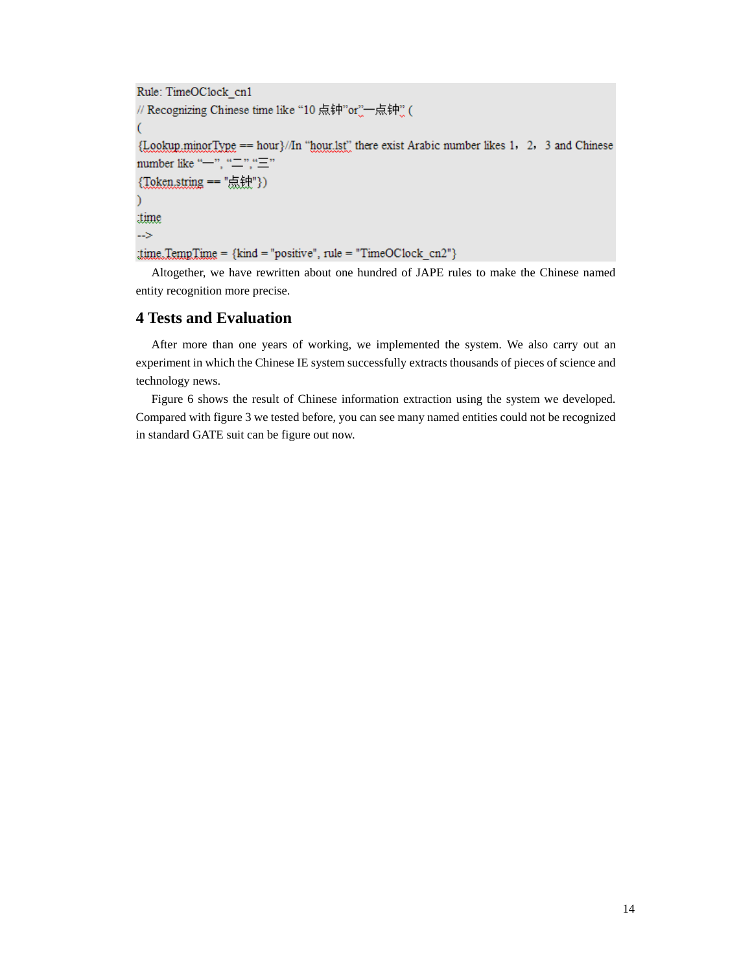```
Rule: TimeOClock cn1
// Recognizing Chinese time like "10 点钟"or",一点钟"(
{Lookup.minorType == hour}//In "hour.lst" there exist Arabic number likes 1, 2, 3 and Chinese
number like "-", "\equiv", "\equiv"
{Token.string == "点钟"})
time
\rightarrowtime TempTime = {kind = "positive", rule = "TimeOClock_cn2"}
```
Altogether, we have rewritten about one hundred of JAPE rules to make the Chinese named entity recognition more precise.

# **4 Tests and Evaluation**

After more than one years of working, we implemented the system. We also carry out an experiment in which the Chinese IE system successfully extracts thousands of pieces of science and technology news.

Figure 6 shows the result of Chinese information extraction using the system we developed. Compared with figure 3 we tested before, you can see many named entities could not be recognized in standard GATE suit can be figure out now.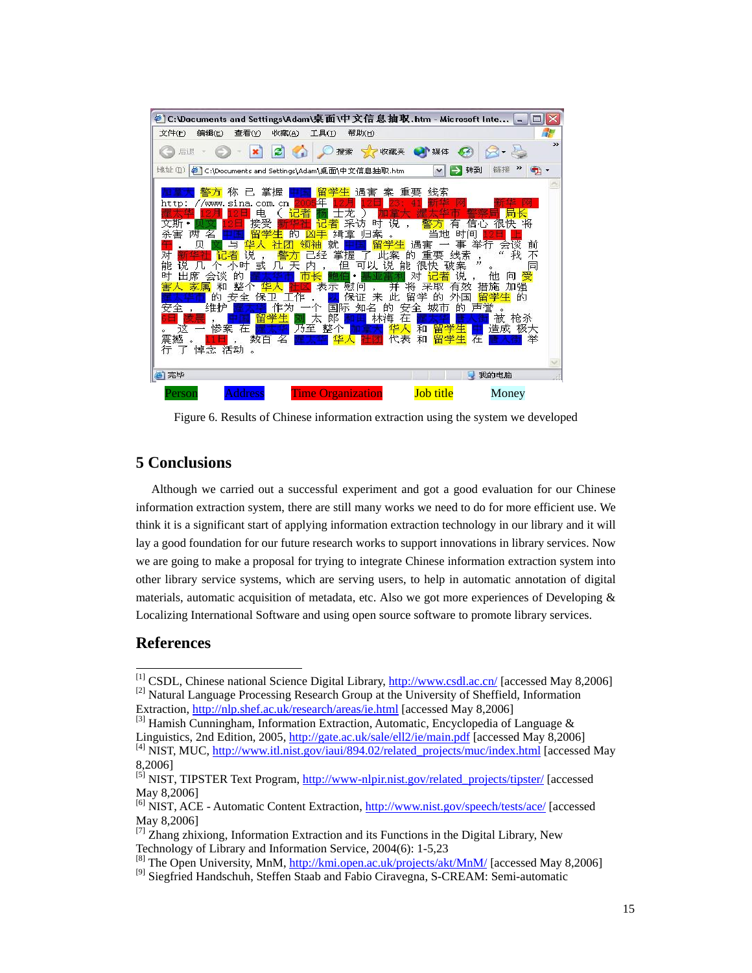

Figure 6. Results of Chinese information extraction using the system we developed

# **5 Conclusions**

Although we carried out a successful experiment and got a good evaluation for our Chinese information extraction system, there are still many works we need to do for more efficient use. We think it is a significant start of applying information extraction technology in our library and it will lay a good foundation for our future research works to support innovations in library services. Now we are going to make a proposal for trying to integrate Chinese information extraction system into other library service systems, which are serving users, to help in automatic annotation of digital materials, automatic acquisition of metadata, etc. Also we got more experiences of Developing  $\&$ Localizing International Software and using open source software to promote library services.

# **References**

<sup>&</sup>lt;sup>[1]</sup> CSDL, Chinese national Science Digital Library, [http://www.csdl.ac.cn/](http://www.csdl.ac.cn) [accessed May 8,2006] <sup>[2]</sup> Natural Language Processing Research Group at the University of Sheffield, Information Extraction, [http://nlp.shef.ac.uk/research/areas/ie.html \[a](http://nlp.shef.ac.uk/research/areas/ie.html)ccessed May 8,2006]

<sup>&</sup>lt;sup>[3]</sup> Hamish Cunningham, Information Extraction, Automatic, Encyclopedia of Language &

Linguistics, 2nd Edition, 2005, [http://gate.ac.uk/sale/ell2/ie/main.pdf \[ac](http://gate.ac.uk/sale/ell2/ie/main.pdf)cessed May 8,2006] <sup>[4]</sup> NIST, MUC, [http://www.itl.nist.gov/iaui/894.02/related\\_projects/muc/index.html \[a](http://www.itl.nist.gov/iaui/894.02/related_projects/muc/index.html)ccessed May

<sup>8,2006]</sup>

<sup>&</sup>lt;sup>[5]</sup> NIST, TIPSTER Text Program, [http://www-nlpir.nist.gov/related\\_projects/tipster/](http://www-nlpir.nist.gov/related_projects/tipster) [accessed May 8,2006]

<sup>&</sup>lt;sup>[6]</sup> NIST, ACE - Automatic Content Extraction, [http://www.nist.gov/speech/tests/ace/](http://www.nist.gov/speech/tests/ace) [accessed May 8,2006]

 $^{[7]}$  Zhang zhixiong, Information Extraction and its Functions in the Digital Library, New Technology of Library and Information Service, 2004(6): 1-5,23

<sup>&</sup>lt;sup>[8]</sup> The Open University, MnM, [http://kmi.open.ac.uk/projects/akt/MnM/](http://kmi.open.ac.uk/projects/akt/MnM) [accessed May 8,2006]

<sup>&</sup>lt;sup>[9]</sup> Siegfried Handschuh, Steffen Staab and Fabio Ciravegna, S-CREAM: Semi-automatic